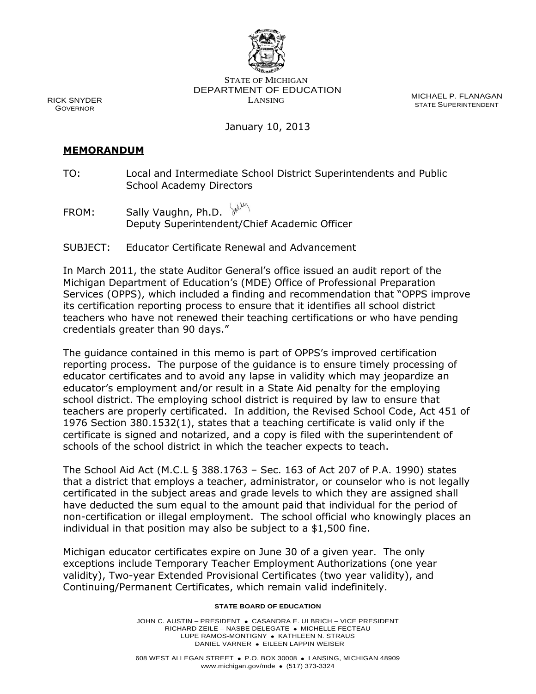

STATE OF MICHIGAN DEPARTMENT OF EDUCATION LANSING

MICHAEL P. FLANAGAN STATE SUPERINTENDENT

# January 10, 2013

#### **MEMORANDUM**

RICK SNYDER GOVERNOR

> TO: Local and Intermediate School District Superintendents and Public School Academy Directors

FROM: Sally Vaughn, Ph.D.  $\sqrt{\frac{1}{2}}$ Deputy Superintendent/Chief Academic Officer

#### SUBJECT: Educator Certificate Renewal and Advancement

In March 2011, the state Auditor General's office issued an audit report of the Michigan Department of Education's (MDE) Office of Professional Preparation Services (OPPS), which included a finding and recommendation that "OPPS improve its certification reporting process to ensure that it identifies all school district teachers who have not renewed their teaching certifications or who have pending credentials greater than 90 days."

The guidance contained in this memo is part of OPPS's improved certification reporting process. The purpose of the guidance is to ensure timely processing of educator certificates and to avoid any lapse in validity which may jeopardize an educator's employment and/or result in a State Aid penalty for the employing school district. The employing school district is required by law to ensure that teachers are properly certificated. In addition, the Revised School Code, Act 451 of 1976 Section 380.1532(1), states that a teaching certificate is valid only if the certificate is signed and notarized, and a copy is filed with the superintendent of schools of the school district in which the teacher expects to teach.

The School Aid Act (M.C.L § 388.1763 – Sec. 163 of Act 207 of P.A. 1990) states that a district that employs a teacher, administrator, or counselor who is not legally certificated in the subject areas and grade levels to which they are assigned shall have deducted the sum equal to the amount paid that individual for the period of non-certification or illegal employment. The school official who knowingly places an individual in that position may also be subject to a \$1,500 fine.

Michigan educator certificates expire on June 30 of a given year. The only exceptions include Temporary Teacher Employment Authorizations (one year validity), Two-year Extended Provisional Certificates (two year validity), and Continuing/Permanent Certificates, which remain valid indefinitely.

#### **STATE BOARD OF EDUCATION**

JOHN C. AUSTIN – PRESIDENT . CASANDRA E. ULBRICH – VICE PRESIDENT RICHARD ZEILE - NASBE DELEGATE . MICHELLE FECTEAU LUPE RAMOS-MONTIGNY . KATHLEEN N. STRAUS DANIEL VARNER · EILEEN LAPPIN WEISER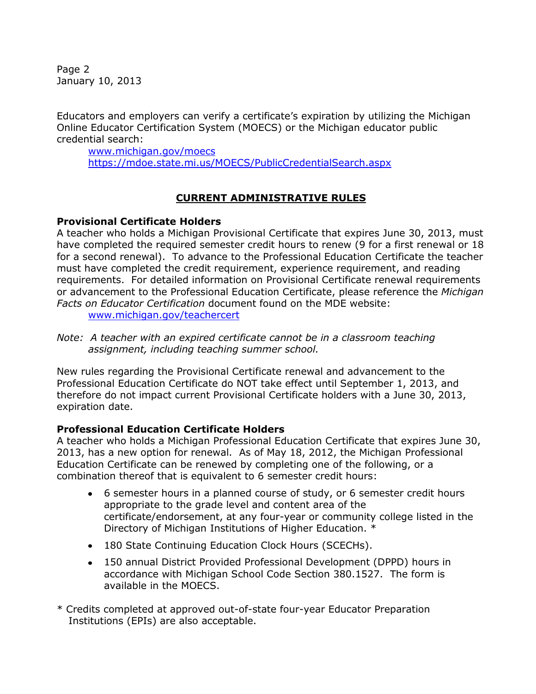Page 2 January 10, 2013

Educators and employers can verify a certificate's expiration by utilizing the Michigan Online Educator Certification System (MOECS) or the Michigan educator public credential search:

[www.michigan.gov/moecs](http://www.michigan.gov/moecs) <https://mdoe.state.mi.us/MOECS/PublicCredentialSearch.aspx>

# **CURRENT ADMINISTRATIVE RULES**

# **Provisional Certificate Holders**

A teacher who holds a Michigan Provisional Certificate that expires June 30, 2013, must have completed the required semester credit hours to renew (9 for a first renewal or 18 for a second renewal). To advance to the Professional Education Certificate the teacher must have completed the credit requirement, experience requirement, and reading requirements. For detailed information on Provisional Certificate renewal requirements or advancement to the Professional Education Certificate, please reference the *Michigan Facts on Educator Certification* document found on the MDE website:

[www.michigan.gov/teachercert](http://www.michigan.gov/teachercert)

*Note: A teacher with an expired certificate cannot be in a classroom teaching assignment, including teaching summer school.* 

New rules regarding the Provisional Certificate renewal and advancement to the Professional Education Certificate do NOT take effect until September 1, 2013, and therefore do not impact current Provisional Certificate holders with a June 30, 2013, expiration date.

# **Professional Education Certificate Holders**

A teacher who holds a Michigan Professional Education Certificate that expires June 30, 2013, has a new option for renewal. As of May 18, 2012, the Michigan Professional Education Certificate can be renewed by completing one of the following, or a combination thereof that is equivalent to 6 semester credit hours:

- 6 semester hours in a planned course of study, or 6 semester credit hours appropriate to the grade level and content area of the certificate/endorsement, at any four-year or community college listed in the Directory of Michigan Institutions of Higher Education. \*
- 180 State Continuing Education Clock Hours (SCECHs).
- 150 annual District Provided Professional Development (DPPD) hours in accordance with Michigan School Code Section 380.1527. The form is available in the MOECS.
- \* Credits completed at approved out-of-state four-year Educator Preparation Institutions (EPIs) are also acceptable.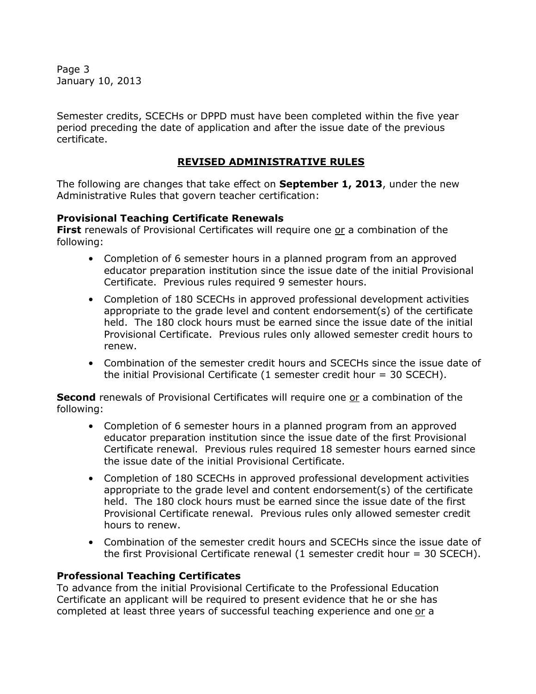Page 3 January 10, 2013

Semester credits, SCECHs or DPPD must have been completed within the five year period preceding the date of application and after the issue date of the previous certificate.

# **REVISED ADMINISTRATIVE RULES**

The following are changes that take effect on **September 1, 2013**, under the new Administrative Rules that govern teacher certification:

### **Provisional Teaching Certificate Renewals**

**First** renewals of Provisional Certificates will require one or a combination of the following:

- Completion of 6 semester hours in a planned program from an approved educator preparation institution since the issue date of the initial Provisional Certificate. Previous rules required 9 semester hours.
- Completion of 180 SCECHs in approved professional development activities appropriate to the grade level and content endorsement(s) of the certificate held. The 180 clock hours must be earned since the issue date of the initial Provisional Certificate. Previous rules only allowed semester credit hours to renew.
- Combination of the semester credit hours and SCECHs since the issue date of the initial Provisional Certificate (1 semester credit hour  $=$  30 SCECH).

**Second** renewals of Provisional Certificates will require one or a combination of the following:

- Completion of 6 semester hours in a planned program from an approved educator preparation institution since the issue date of the first Provisional Certificate renewal. Previous rules required 18 semester hours earned since the issue date of the initial Provisional Certificate.
- Completion of 180 SCECHs in approved professional development activities appropriate to the grade level and content endorsement(s) of the certificate held. The 180 clock hours must be earned since the issue date of the first Provisional Certificate renewal. Previous rules only allowed semester credit hours to renew.
- Combination of the semester credit hours and SCECHs since the issue date of the first Provisional Certificate renewal (1 semester credit hour = 30 SCECH).

# **Professional Teaching Certificates**

To advance from the initial Provisional Certificate to the Professional Education Certificate an applicant will be required to present evidence that he or she has completed at least three years of successful teaching experience and one or a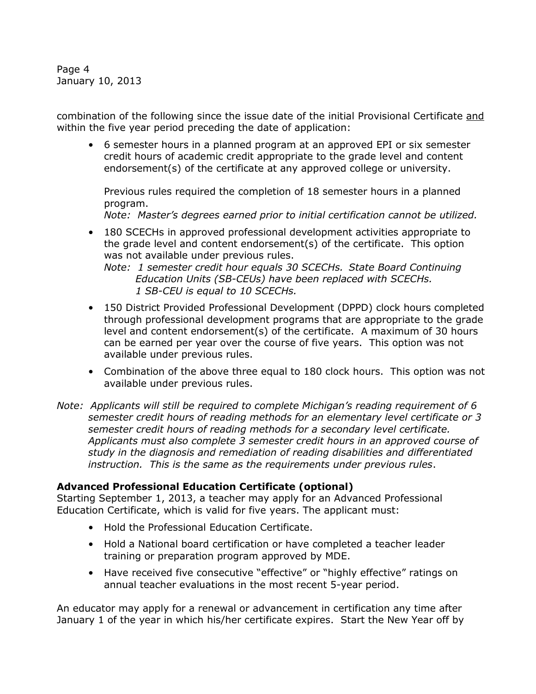Page 4 January 10, 2013

combination of the following since the issue date of the initial Provisional Certificate and within the five year period preceding the date of application:

• 6 semester hours in a planned program at an approved EPI or six semester credit hours of academic credit appropriate to the grade level and content endorsement(s) of the certificate at any approved college or university.

Previous rules required the completion of 18 semester hours in a planned program.

*Note: Master's degrees earned prior to initial certification cannot be utilized.*

• 180 SCECHs in approved professional development activities appropriate to the grade level and content endorsement(s) of the certificate. This option was not available under previous rules.

*Note: 1 semester credit hour equals 30 SCECHs. State Board Continuing Education Units (SB-CEUs) have been replaced with SCECHs. 1 SB-CEU is equal to 10 SCECHs.*

- 150 District Provided Professional Development (DPPD) clock hours completed through professional development programs that are appropriate to the grade level and content endorsement(s) of the certificate. A maximum of 30 hours can be earned per year over the course of five years. This option was not available under previous rules.
- Combination of the above three equal to 180 clock hours. This option was not available under previous rules.
- *Note: Applicants will still be required to complete Michigan's reading requirement of 6 semester credit hours of reading methods for an elementary level certificate or 3 semester credit hours of reading methods for a secondary level certificate. Applicants must also complete 3 semester credit hours in an approved course of study in the diagnosis and remediation of reading disabilities and differentiated instruction. This is the same as the requirements under previous rules*.

# **Advanced Professional Education Certificate (optional)**

Starting September 1, 2013, a teacher may apply for an Advanced Professional Education Certificate, which is valid for five years. The applicant must:

- Hold the Professional Education Certificate.
- Hold a National board certification or have completed a teacher leader training or preparation program approved by MDE.
- Have received five consecutive "effective" or "highly effective" ratings on annual teacher evaluations in the most recent 5-year period.

An educator may apply for a renewal or advancement in certification any time after January 1 of the year in which his/her certificate expires. Start the New Year off by